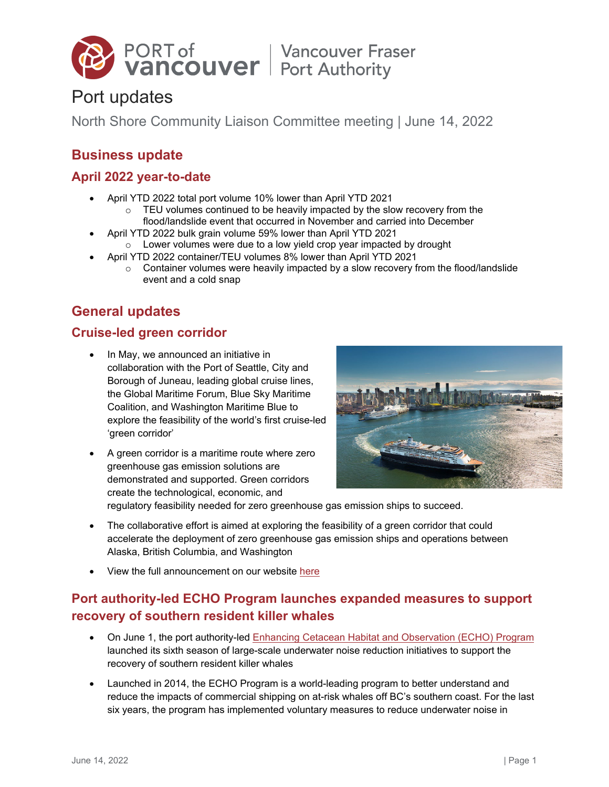

# Port updates

North Shore Community Liaison Committee meeting | June 14, 2022

# **Business update**

# **April 2022 year-to-date**

- April YTD 2022 total port volume 10% lower than April YTD 2021
	- $\circ$  TEU volumes continued to be heavily impacted by the slow recovery from the flood/landslide event that occurred in November and carried into December
- April YTD 2022 bulk grain volume 59% lower than April YTD 2021  $\circ$  Lower volumes were due to a low yield crop year impacted by drought
	- April YTD 2022 container/TEU volumes 8% lower than April YTD 2021
		- $\circ$  Container volumes were heavily impacted by a slow recovery from the flood/landslide event and a cold snap

# **General updates**

# **Cruise-led green corridor**

- In May, we announced an initiative in collaboration with the Port of Seattle, City and Borough of Juneau, leading global cruise lines, the Global Maritime Forum, Blue Sky Maritime Coalition, and Washington Maritime Blue to explore the feasibility of the world's first cruise-led 'green corridor'
- A green corridor is a maritime route where zero greenhouse gas emission solutions are demonstrated and supported. Green corridors create the technological, economic, and



regulatory feasibility needed for zero greenhouse gas emission ships to succeed.

- The collaborative effort is aimed at exploring the feasibility of a green corridor that could accelerate the deployment of zero greenhouse gas emission ships and operations between Alaska, British Columbia, and Washington
- View the full announcement on our website [here](https://www.portvancouver.com/news-and-media/news/port-of-seattle-city-and-borough-of-juneau-vancouver-fraser-port-authority-and-leading-global-cruise-lines-to-explore-feasibility-for-first-of-its-kind-green-corridor/)

# **Port authority-led ECHO Program launches expanded measures to support recovery of southern resident killer whales**

- On June 1, the port authority-led **Enhancing Cetacean Habitat and Observation (ECHO)** Program launched its sixth season of large-scale underwater noise reduction initiatives to support the recovery of southern resident killer whales
- Launched in 2014, the ECHO Program is a world-leading program to better understand and reduce the impacts of commercial shipping on at-risk whales off BC's southern coast. For the last six years, the program has implemented voluntary measures to reduce underwater noise in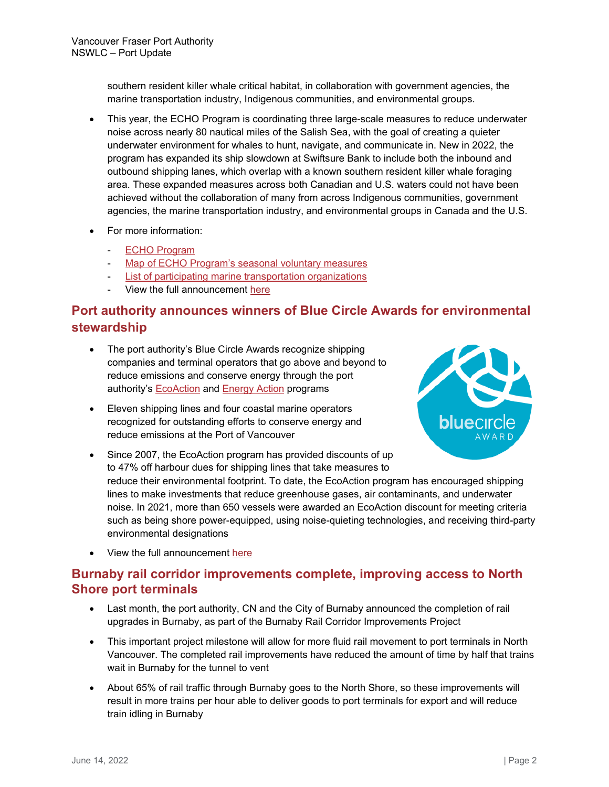southern resident killer whale critical habitat, in collaboration with government agencies, the marine transportation industry, Indigenous communities, and environmental groups.

- This year, the ECHO Program is coordinating three large-scale measures to reduce underwater noise across nearly 80 nautical miles of the Salish Sea, with the goal of creating a quieter underwater environment for whales to hunt, navigate, and communicate in. New in 2022, the program has expanded its ship slowdown at Swiftsure Bank to include both the inbound and outbound shipping lanes, which overlap with a known southern resident killer whale foraging area. These expanded measures across both Canadian and U.S. waters could not have been achieved without the collaboration of many from across Indigenous communities, government agencies, the marine transportation industry, and environmental groups in Canada and the U.S.
- For more information:
	- **[ECHO Program](https://www.portvancouver.com/news-and-media/news/port-authority-led-echo-program-launches-expanded-measures-to-support-recovery-of-southern-resident-killer-whales/)**
	- [Map of ECHO Program's seasonal voluntary measures](https://www.portvancouver.com/wp-content/uploads/2022/06/ECHO-Program-2022-voluntary-initiatives.png)
	- [List of participating marine transportation organizations](https://www.portvancouver.com/environmental-protection-at-the-port-of-vancouver/maintaining-healthy-ecosystems-throughout-our-jurisdiction/echo-program/projects/thankyou/)
	- View the full announcement [here](https://www.portvancouver.com/news-and-media/news/port-authority-led-echo-program-launches-expanded-measures-to-support-recovery-of-southern-resident-killer-whales/)

# **Port authority announces winners of Blue Circle Awards for environmental stewardship**

- The port authority's Blue Circle Awards recognize shipping companies and terminal operators that go above and beyond to reduce emissions and conserve energy through the port authority's **[EcoAction](https://www.portvancouver.com/environmental-protection-at-the-port-of-vancouver/climate-action-at-the-port-of-vancouver/ecoaction-program/) and [Energy Action](https://www.portvancouver.com/environmental-protection-at-the-port-of-vancouver/climate-action-at-the-port-of-vancouver/energy-action-initiative/)** programs
- Eleven shipping lines and four coastal marine operators recognized for outstanding efforts to conserve energy and reduce emissions at the Port of Vancouver



- Since 2007, the EcoAction program has provided discounts of up to 47% off harbour dues for shipping lines that take measures to reduce their environmental footprint. To date, the EcoAction program has encouraged shipping lines to make investments that reduce greenhouse gases, air contaminants, and underwater noise. In 2021, more than 650 vessels were awarded an EcoAction discount for meeting criteria such as being shore power-equipped, using noise-quieting technologies, and receiving third-party environmental designations
- View the full announcement [here](https://www.portvancouver.com/news-and-media/news/port-authority-announces-winners-of-blue-circle-awards-for-environmental-stewardship/)

### **Burnaby rail corridor improvements complete, improving access to North Shore port terminals**

- Last month, the port authority, CN and the City of Burnaby announced the completion of rail upgrades in Burnaby, as part of the Burnaby Rail Corridor Improvements Project
- This important project milestone will allow for more fluid rail movement to port terminals in North Vancouver. The completed rail improvements have reduced the amount of time by half that trains wait in Burnaby for the tunnel to vent
- About 65% of rail traffic through Burnaby goes to the North Shore, so these improvements will result in more trains per hour able to deliver goods to port terminals for export and will reduce train idling in Burnaby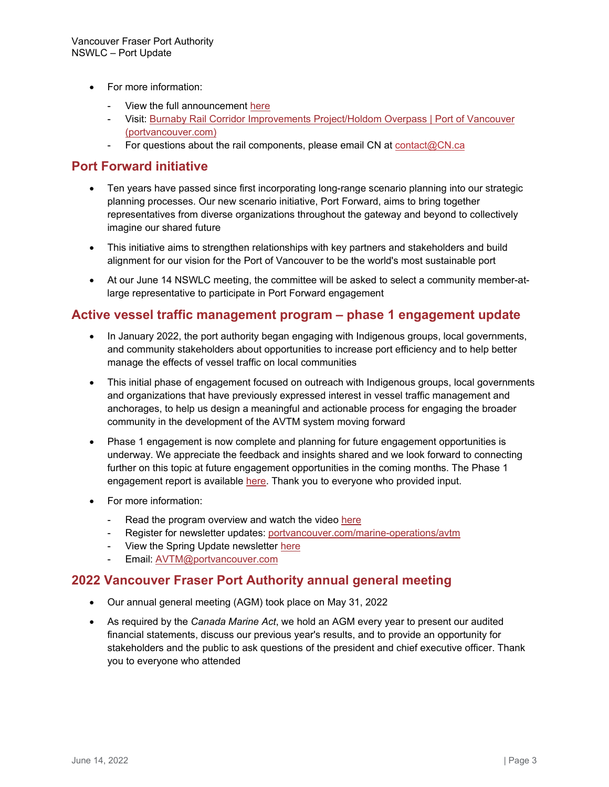- For more information:
	- View the full announcement [here](https://www.portvancouver.com/news-and-media/news/burnaby-rail-corridor-improvements-complete-improving-access-to-north-shore-port-terminals/)
	- Visit: [Burnaby Rail Corridor Improvements Project/Holdom Overpass | Port of Vancouver](https://www.portvancouver.com/projects/road-and-rail/burnaby-rail-corridor-upgrades/)  [\(portvancouver.com\)](https://www.portvancouver.com/projects/road-and-rail/burnaby-rail-corridor-upgrades/)
	- For questions about the rail components, please email CN at [contact@CN.ca](mailto:contact@CN.ca)

#### **Port Forward initiative**

- Ten years have passed since first incorporating long-range scenario planning into our strategic planning processes. Our new scenario initiative, Port Forward, aims to bring together representatives from diverse organizations throughout the gateway and beyond to collectively imagine our shared future
- This initiative aims to strengthen relationships with key partners and stakeholders and build alignment for our vision for the Port of Vancouver to be the world's most sustainable port
- At our June 14 NSWLC meeting, the committee will be asked to select a community member-atlarge representative to participate in Port Forward engagement

#### **Active vessel traffic management program – phase 1 engagement update**

- In January 2022, the port authority began engaging with Indigenous groups, local governments, and community stakeholders about opportunities to increase port efficiency and to help better manage the effects of vessel traffic on local communities
- This initial phase of engagement focused on outreach with Indigenous groups, local governments and organizations that have previously expressed interest in vessel traffic management and anchorages, to help us design a meaningful and actionable process for engaging the broader community in the development of the AVTM system moving forward
- Phase 1 engagement is now complete and planning for future engagement opportunities is underway. We appreciate the feedback and insights shared and we look forward to connecting further on this topic at future engagement opportunities in the coming months. The Phase 1 engagement report is available [here.](https://www.portvancouver.com/wp-content/uploads/2022/05/2022-05-04-Port-Optimization-Initiatives_Active-Vessel-Traffic-Management-Phase-1-Engagement-Summary-Report.pdf) Thank you to everyone who provided input.
- For more information:
	- Read the program overview and watch the video [here](https://youtu.be/gUFNW59_mPc)
	- Register for newsletter updates: [portvancouver.com/marine-operations/avtm](https://www.portvancouver.com/marine-operations/avtm/)
	- View the Spring Update newsletter [here](https://www.portvancouver.com/wp-content/uploads/2022/06/VFPA-AVTM-program-update-spring-2022-1.pdf)
	- Email: [AVTM@portvancouver.com](mailto:AVTM@portvancouver.com)

#### **2022 Vancouver Fraser Port Authority annual general meeting**

- Our annual general meeting (AGM) took place on May 31, 2022
- As required by the *Canada Marine Act*, we hold an AGM every year to present our audited financial statements, discuss our previous year's results, and to provide an opportunity for stakeholders and the public to ask questions of the president and chief executive officer. Thank you to everyone who attended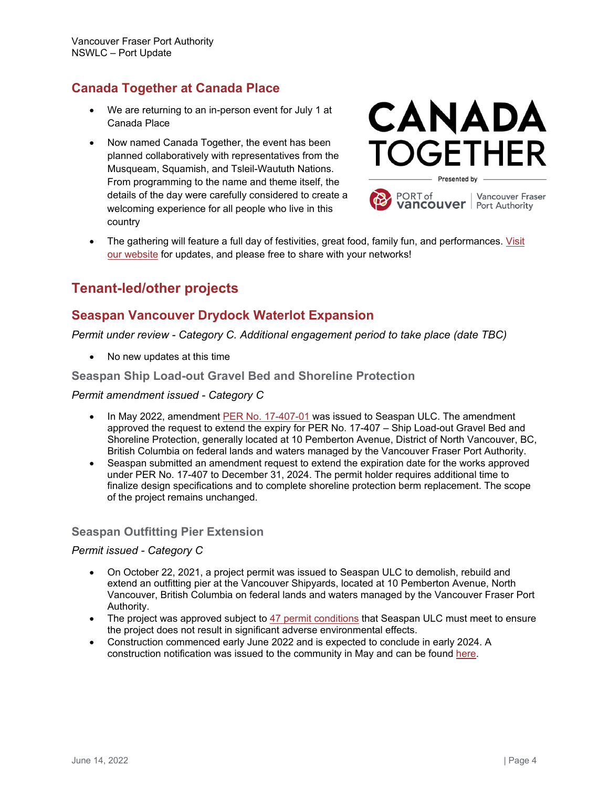# **Canada Together at Canada Place**

- We are returning to an in-person event for July 1 at Canada Place
- Now named Canada Together, the event has been planned collaboratively with representatives from the Musqueam, Squamish, and Tsleil-Waututh Nations. From programming to the name and theme itself, the details of the day were carefully considered to create a welcoming experience for all people who live in this country





• The gathering will feature a full day of festivities, great food, family fun, and performances. [Visit](https://www.canadaplace.ca/events/canada-together/)  [our website](https://www.canadaplace.ca/events/canada-together/) for updates, and please free to share with your networks!

# **Tenant-led/other projects**

# **Seaspan Vancouver Drydock Waterlot Expansion**

*Permit under review - Category C. Additional engagement period to take place (date TBC)*

• No new updates at this time

#### **Seaspan Ship Load-out Gravel Bed and Shoreline Protection**

#### *Permit amendment issued - Category C*

- In May 2022, amendment [PER No. 17-407-01](https://www.portvancouver.com/wp-content/uploads/2022/06/2022-05-31-WEB-COPY-Issued-Amendment-Seaspan-Ship-Load-out-Gravel-Bed-and-Shoreline-Protection-PP-17-407-01.pdf) was issued to Seaspan ULC. The amendment approved the request to extend the expiry for PER No. 17-407 – Ship Load-out Gravel Bed and Shoreline Protection, generally located at 10 Pemberton Avenue, District of North Vancouver, BC, British Columbia on federal lands and waters managed by the Vancouver Fraser Port Authority.
- Seaspan submitted an amendment request to extend the expiration date for the works approved under PER No. 17-407 to December 31, 2024. The permit holder requires additional time to finalize design specifications and to complete shoreline protection berm replacement. The scope of the project remains unchanged.

#### **Seaspan Outfitting Pier Extension**

#### *Permit issued - Category C*

- On October 22, 2021, a project permit was issued to Seaspan ULC to demolish, rebuild and extend an outfitting pier at the Vancouver Shipyards, located at 10 Pemberton Avenue, North Vancouver, British Columbia on federal lands and waters managed by the Vancouver Fraser Port Authority.
- The project was approved subject to [47 permit conditions](https://www.portvancouver.com/wp-content/uploads/2021/02/2021-10-22-WEB-COPY-Issued-Permit-and-Report-PP-20-034-Seaspan-Outfitting-Pier-Extension.pdf) that Seaspan ULC must meet to ensure the project does not result in significant adverse environmental effects.
- Construction commenced early June 2022 and is expected to conclude in early 2024. A construction notification was issued to the community in May and can be foun[d here.](https://www.portvancouver.com/wp-content/uploads/2021/02/ConstructionNotice_PER20-034_220504a-FINAL-May-6-2022.pdf)